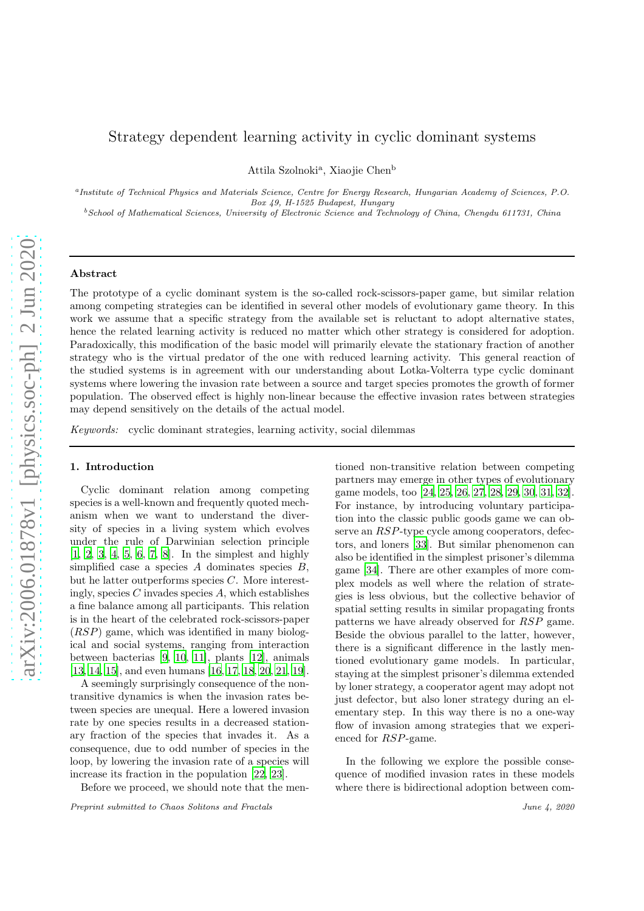# Strategy dependent learning activity in cyclic dominant systems

Attila Szolnoki<sup>a</sup>, Xiaojie Chen<sup>b</sup>

a Institute of Technical Physics and Materials Science, Centre for Energy Research, Hungarian Academy of Sciences, P.O. Box 49, H-1525 Budapest, Hungary

 $b$ School of Mathematical Sciences, University of Electronic Science and Technology of China, Chengdu 611731, China

#### Abstract

The prototype of a cyclic dominant system is the so-called rock-scissors-paper game, but similar relation among competing strategies can be identified in several other models of evolutionary game theory. In this work we assume that a specific strategy from the available set is reluctant to adopt alternative states, hence the related learning activity is reduced no matter which other strategy is considered for adoption. Paradoxically, this modification of the basic model will primarily elevate the stationary fraction of another strategy who is the virtual predator of the one with reduced learning activity. This general reaction of the studied systems is in agreement with our understanding about Lotka-Volterra type cyclic dominant systems where lowering the invasion rate between a source and target species promotes the growth of former population. The observed effect is highly non-linear because the effective invasion rates between strategies may depend sensitively on the details of the actual model.

Keywords: cyclic dominant strategies, learning activity, social dilemmas

#### 1. Introduction

Cyclic dominant relation among competing species is a well-known and frequently quoted mechanism when we want to understand the diversity of species in a living system which evolves under the rule of Darwinian selection principle [\[1](#page-7-0), [2](#page-7-1), [3,](#page-7-2) [4,](#page-7-3) [5,](#page-7-4) [6,](#page-7-5) [7,](#page-7-6) [8](#page-7-7)]. In the simplest and highly simplified case a species  $A$  dominates species  $B$ , but he latter outperforms species C. More interestingly, species  $C$  invades species  $A$ , which establishes a fine balance among all participants. This relation is in the heart of the celebrated rock-scissors-paper  $(RSP)$  game, which was identified in many biological and social systems, ranging from interaction between bacterias [\[9,](#page-7-8) [10,](#page-7-9) [11\]](#page-7-10), plants [\[12](#page-7-11)], animals [\[13](#page-8-0), [14,](#page-8-1) [15\]](#page-8-2), and even humans [\[16,](#page-8-3) [17,](#page-8-4) [18,](#page-8-5) [20,](#page-8-6) [21,](#page-8-7) [19](#page-8-8)].

A seemingly surprisingly consequence of the nontransitive dynamics is when the invasion rates between species are unequal. Here a lowered invasion rate by one species results in a decreased stationary fraction of the species that invades it. As a consequence, due to odd number of species in the loop, by lowering the invasion rate of a species will increase its fraction in the population [\[22,](#page-8-9) [23\]](#page-8-10).

Before we proceed, we should note that the men-

Preprint submitted to Chaos Solitons and Fractals June 4, 2020

tioned non-transitive relation between competing partners may emerge in other types of evolutionary game models, too [\[24,](#page-8-11) [25](#page-8-12), [26,](#page-8-13) [27](#page-8-14), [28,](#page-8-15) [29,](#page-8-16) [30](#page-8-17), [31,](#page-8-18) [32](#page-8-19)]. For instance, by introducing voluntary participation into the classic public goods game we can observe an RSP-type cycle among cooperators, defectors, and loners [\[33\]](#page-8-20). But similar phenomenon can also be identified in the simplest prisoner's dilemma game [\[34](#page-8-21)]. There are other examples of more complex models as well where the relation of strategies is less obvious, but the collective behavior of spatial setting results in similar propagating fronts patterns we have already observed for RSP game. Beside the obvious parallel to the latter, however, there is a significant difference in the lastly mentioned evolutionary game models. In particular, staying at the simplest prisoner's dilemma extended by loner strategy, a cooperator agent may adopt not just defector, but also loner strategy during an elementary step. In this way there is no a one-way flow of invasion among strategies that we experienced for RSP-game.

In the following we explore the possible consequence of modified invasion rates in these models where there is bidirectional adoption between com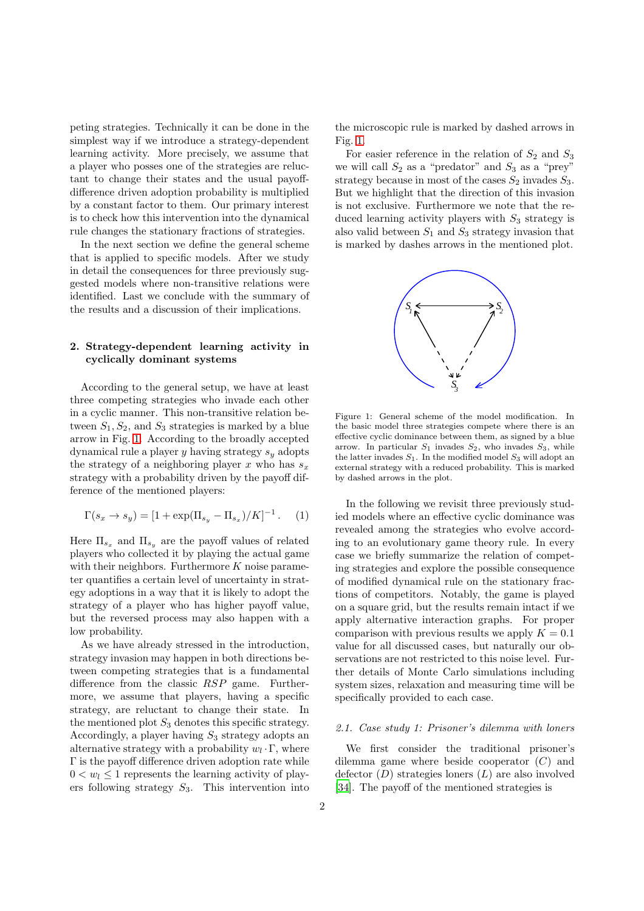peting strategies. Technically it can be done in the simplest way if we introduce a strategy-dependent learning activity. More precisely, we assume that a player who posses one of the strategies are reluctant to change their states and the usual payoffdifference driven adoption probability is multiplied by a constant factor to them. Our primary interest is to check how this intervention into the dynamical rule changes the stationary fractions of strategies.

In the next section we define the general scheme that is applied to specific models. After we study in detail the consequences for three previously suggested models where non-transitive relations were identified. Last we conclude with the summary of the results and a discussion of their implications.

# 2. Strategy-dependent learning activity in cyclically dominant systems

According to the general setup, we have at least three competing strategies who invade each other in a cyclic manner. This non-transitive relation between  $S_1, S_2$ , and  $S_3$  strategies is marked by a blue arrow in Fig. [1.](#page-1-0) According to the broadly accepted dynamical rule a player y having strategy  $s_y$  adopts the strategy of a neighboring player x who has  $s_x$ strategy with a probability driven by the payoff difference of the mentioned players:

$$
\Gamma(s_x \to s_y) = [1 + \exp(\Pi_{s_y} - \Pi_{s_x})/K]^{-1}.
$$
 (1)

Here  $\Pi_{s_x}$  and  $\Pi_{s_y}$  are the payoff values of related players who collected it by playing the actual game with their neighbors. Furthermore  $K$  noise parameter quantifies a certain level of uncertainty in strategy adoptions in a way that it is likely to adopt the strategy of a player who has higher payoff value, but the reversed process may also happen with a low probability.

As we have already stressed in the introduction, strategy invasion may happen in both directions between competing strategies that is a fundamental difference from the classic RSP game. Furthermore, we assume that players, having a specific strategy, are reluctant to change their state. In the mentioned plot  $S_3$  denotes this specific strategy. Accordingly, a player having  $S_3$  strategy adopts an alternative strategy with a probability  $w_l \cdot \Gamma$ , where Γ is the payoff difference driven adoption rate while  $0 < w_l \leq 1$  represents the learning activity of players following strategy  $S_3$ . This intervention into the microscopic rule is marked by dashed arrows in Fig. [1.](#page-1-0)

For easier reference in the relation of  $S_2$  and  $S_3$ we will call  $S_2$  as a "predator" and  $S_3$  as a "prey" strategy because in most of the cases  $S_2$  invades  $S_3$ . But we highlight that the direction of this invasion is not exclusive. Furthermore we note that the reduced learning activity players with  $S_3$  strategy is also valid between  $S_1$  and  $S_3$  strategy invasion that is marked by dashes arrows in the mentioned plot.



<span id="page-1-0"></span>Figure 1: General scheme of the model modification. In the basic model three strategies compete where there is an effective cyclic dominance between them, as signed by a blue arrow. In particular  $S_1$  invades  $S_2$ , who invades  $S_3$ , while the latter invades  $S_1$ . In the modified model  $S_3$  will adopt an external strategy with a reduced probability. This is marked by dashed arrows in the plot.

In the following we revisit three previously studied models where an effective cyclic dominance was revealed among the strategies who evolve according to an evolutionary game theory rule. In every case we briefly summarize the relation of competing strategies and explore the possible consequence of modified dynamical rule on the stationary fractions of competitors. Notably, the game is played on a square grid, but the results remain intact if we apply alternative interaction graphs. For proper comparison with previous results we apply  $K = 0.1$ value for all discussed cases, but naturally our observations are not restricted to this noise level. Further details of Monte Carlo simulations including system sizes, relaxation and measuring time will be specifically provided to each case.

## 2.1. Case study 1: Prisoner's dilemma with loners

We first consider the traditional prisoner's dilemma game where beside cooperator  $(C)$  and defector  $(D)$  strategies loners  $(L)$  are also involved [\[34](#page-8-21)]. The payoff of the mentioned strategies is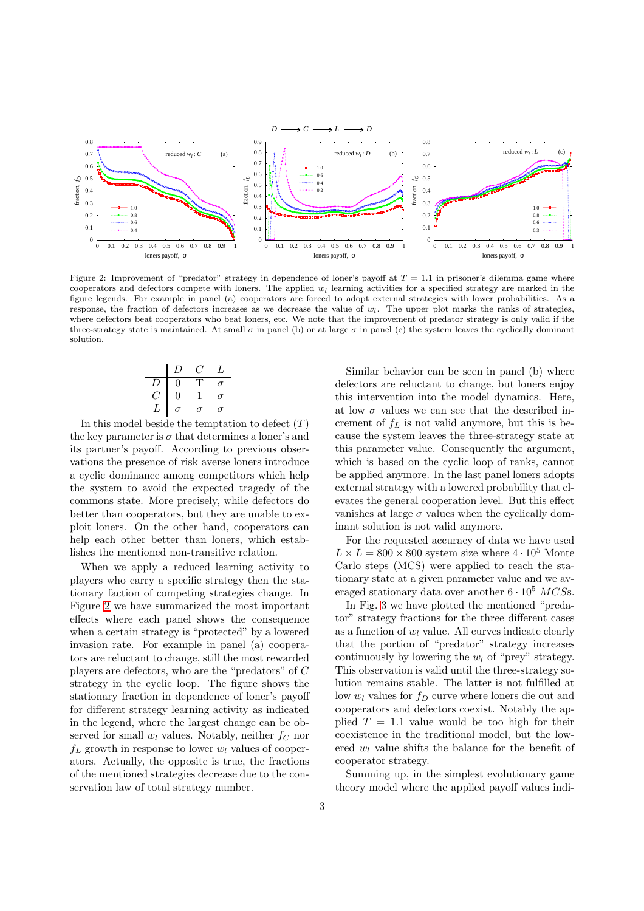

<span id="page-2-0"></span>Figure 2: Improvement of "predator" strategy in dependence of loner's payoff at  $T = 1.1$  in prisoner's dilemma game where cooperators and defectors compete with loners. The applied  $w_l$  learning activities for a specified strategy are marked in the figure legends. For example in panel (a) cooperators are forced to adopt external strategies with lower probabilities. As a response, the fraction of defectors increases as we decrease the value of  $w_l$ . The upper plot marks the ranks of strategies, where defectors beat cooperators who beat loners, etc. We note that the improvement of predator strategy is only valid if the three-strategy state is maintained. At small  $\sigma$  in panel (b) or at large  $\sigma$  in panel (c) the system leaves the cyclically dominant solution.

$$
\begin{array}{c|cccc}\n & D & C & L \\
\hline\nD & 0 & T & \sigma \\
C & 0 & 1 & \sigma \\
L & \sigma & \sigma & \sigma\n\end{array}
$$

In this model beside the temptation to defect  $(T)$ the key parameter is  $\sigma$  that determines a loner's and its partner's payoff. According to previous observations the presence of risk averse loners introduce a cyclic dominance among competitors which help the system to avoid the expected tragedy of the commons state. More precisely, while defectors do better than cooperators, but they are unable to exploit loners. On the other hand, cooperators can help each other better than loners, which establishes the mentioned non-transitive relation.

When we apply a reduced learning activity to players who carry a specific strategy then the stationary faction of competing strategies change. In Figure [2](#page-2-0) we have summarized the most important effects where each panel shows the consequence when a certain strategy is "protected" by a lowered invasion rate. For example in panel (a) cooperators are reluctant to change, still the most rewarded players are defectors, who are the "predators" of C strategy in the cyclic loop. The figure shows the stationary fraction in dependence of loner's payoff for different strategy learning activity as indicated in the legend, where the largest change can be observed for small  $w_l$  values. Notably, neither  $f_C$  nor  $f_L$  growth in response to lower  $w_l$  values of cooperators. Actually, the opposite is true, the fractions of the mentioned strategies decrease due to the conservation law of total strategy number.

Similar behavior can be seen in panel (b) where defectors are reluctant to change, but loners enjoy this intervention into the model dynamics. Here, at low  $\sigma$  values we can see that the described increment of  $f<sub>L</sub>$  is not valid anymore, but this is because the system leaves the three-strategy state at this parameter value. Consequently the argument, which is based on the cyclic loop of ranks, cannot be applied anymore. In the last panel loners adopts external strategy with a lowered probability that elevates the general cooperation level. But this effect vanishes at large  $\sigma$  values when the cyclically dominant solution is not valid anymore.

For the requested accuracy of data we have used  $L \times L = 800 \times 800$  system size where  $4 \cdot 10^5$  Monte Carlo steps (MCS) were applied to reach the stationary state at a given parameter value and we averaged stationary data over another  $6 \cdot 10^5$  MCSs.

In Fig. [3](#page-3-0) we have plotted the mentioned "predator" strategy fractions for the three different cases as a function of  $w_l$  value. All curves indicate clearly that the portion of "predator" strategy increases continuously by lowering the  $w_l$  of "prey" strategy. This observation is valid until the three-strategy solution remains stable. The latter is not fulfilled at low  $w_l$  values for  $f_D$  curve where loners die out and cooperators and defectors coexist. Notably the applied  $T = 1.1$  value would be too high for their coexistence in the traditional model, but the lowered  $w_l$  value shifts the balance for the benefit of cooperator strategy.

Summing up, in the simplest evolutionary game theory model where the applied payoff values indi-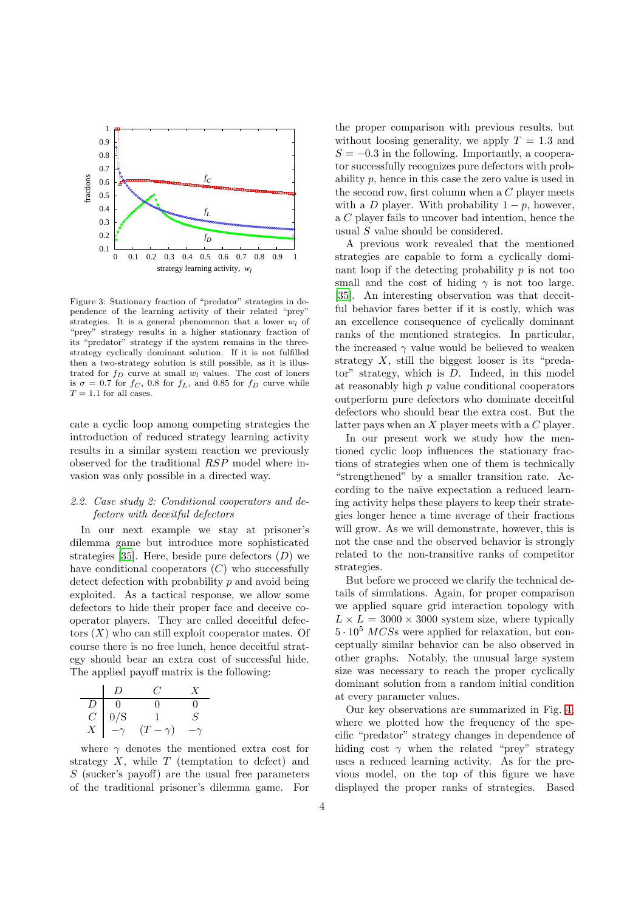

<span id="page-3-0"></span>Figure 3: Stationary fraction of "predator" strategies in dependence of the learning activity of their related "prey" strategies. It is a general phenomenon that a lower  $w_l$  of "prey" strategy results in a higher stationary fraction of its "predator" strategy if the system remains in the threestrategy cyclically dominant solution. If it is not fulfilled then a two-strategy solution is still possible, as it is illustrated for  $f_D$  curve at small  $w_l$  values. The cost of loners is  $\sigma = 0.7$  for  $f_C$ , 0.8 for  $f_L$ , and 0.85 for  $f_D$  curve while  $T=1.1$  for all cases.

cate a cyclic loop among competing strategies the introduction of reduced strategy learning activity results in a similar system reaction we previously observed for the traditional RSP model where invasion was only possible in a directed way.

# 2.2. Case study 2: Conditional cooperators and defectors with deceitful defectors

In our next example we stay at prisoner's dilemma game but introduce more sophisticated strategies [\[35\]](#page-8-22). Here, beside pure defectors  $(D)$  we have conditional cooperators  $(C)$  who successfully detect defection with probability p and avoid being exploited. As a tactical response, we allow some defectors to hide their proper face and deceive cooperator players. They are called deceitful defectors  $(X)$  who can still exploit cooperator mates. Of course there is no free lunch, hence deceitful strategy should bear an extra cost of successful hide. The applied payoff matrix is the following:

|                |           | €Ž.            | $\boldsymbol{X}$ |
|----------------|-----------|----------------|------------------|
| D              | $\Omega$  |                |                  |
| C              | 0/S       |                | ۰,               |
| $\overline{X}$ | $-\gamma$ | $(T - \gamma)$ | -1               |

where  $\gamma$  denotes the mentioned extra cost for strategy  $X$ , while  $T$  (temptation to defect) and S (sucker's payoff) are the usual free parameters of the traditional prisoner's dilemma game. For the proper comparison with previous results, but without loosing generality, we apply  $T = 1.3$  and  $S = -0.3$  in the following. Importantly, a cooperator successfully recognizes pure defectors with probability p, hence in this case the zero value is used in the second row, first column when a  $C$  player meets with a D player. With probability  $1 - p$ , however, a C player fails to uncover bad intention, hence the usual S value should be considered.

A previous work revealed that the mentioned strategies are capable to form a cyclically dominant loop if the detecting probability  $p$  is not too small and the cost of hiding  $\gamma$  is not too large. [\[35](#page-8-22)]. An interesting observation was that deceitful behavior fares better if it is costly, which was an excellence consequence of cyclically dominant ranks of the mentioned strategies. In particular, the increased  $\gamma$  value would be believed to weaken strategy  $X$ , still the biggest looser is its "predator" strategy, which is D. Indeed, in this model at reasonably high  $p$  value conditional cooperators outperform pure defectors who dominate deceitful defectors who should bear the extra cost. But the latter pays when an  $X$  player meets with a  $C$  player.

In our present work we study how the mentioned cyclic loop influences the stationary fractions of strategies when one of them is technically "strengthened" by a smaller transition rate. According to the naïve expectation a reduced learning activity helps these players to keep their strategies longer hence a time average of their fractions will grow. As we will demonstrate, however, this is not the case and the observed behavior is strongly related to the non-transitive ranks of competitor strategies.

But before we proceed we clarify the technical details of simulations. Again, for proper comparison we applied square grid interaction topology with  $L \times L = 3000 \times 3000$  system size, where typically  $5 \cdot 10^5$  MCSs were applied for relaxation, but conceptually similar behavior can be also observed in other graphs. Notably, the unusual large system size was necessary to reach the proper cyclically dominant solution from a random initial condition at every parameter values.

Our key observations are summarized in Fig. [4,](#page-4-0) where we plotted how the frequency of the specific "predator" strategy changes in dependence of hiding cost  $\gamma$  when the related "prey" strategy uses a reduced learning activity. As for the previous model, on the top of this figure we have displayed the proper ranks of strategies. Based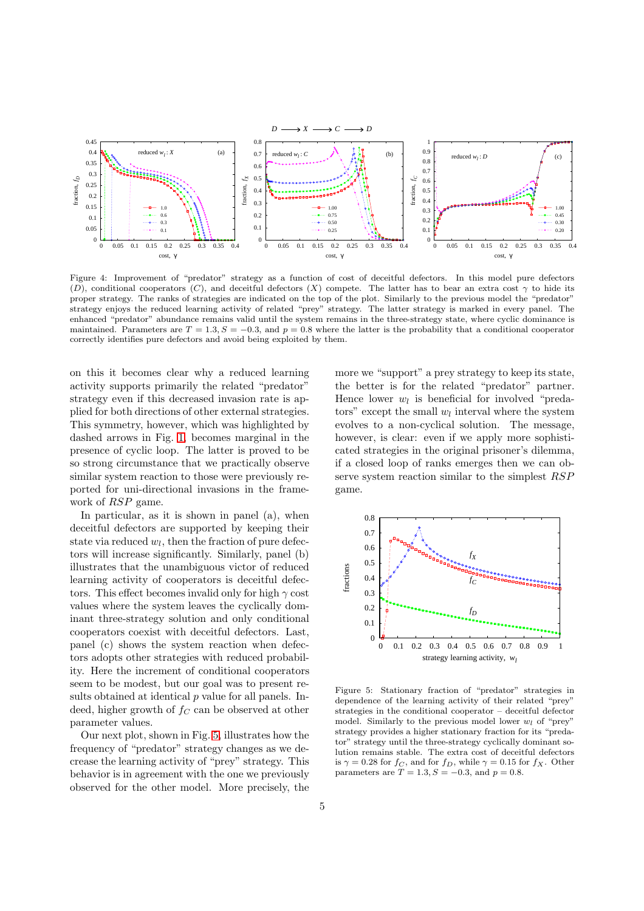

<span id="page-4-0"></span>Figure 4: Improvement of "predator" strategy as a function of cost of deceitful defectors. In this model pure defectors (D), conditional cooperators (C), and deceitful defectors (X) compete. The latter has to bear an extra cost  $\gamma$  to hide its proper strategy. The ranks of strategies are indicated on the top of the plot. Similarly to the previous model the "predator" strategy enjoys the reduced learning activity of related "prey" strategy. The latter strategy is marked in every panel. The enhanced "predator" abundance remains valid until the system remains in the three-strategy state, where cyclic dominance is maintained. Parameters are  $T = 1.3$ ,  $S = -0.3$ , and  $p = 0.8$  where the latter is the probability that a conditional cooperator correctly identifies pure defectors and avoid being exploited by them.

on this it becomes clear why a reduced learning activity supports primarily the related "predator" strategy even if this decreased invasion rate is applied for both directions of other external strategies. This symmetry, however, which was highlighted by dashed arrows in Fig. [1,](#page-1-0) becomes marginal in the presence of cyclic loop. The latter is proved to be so strong circumstance that we practically observe similar system reaction to those were previously reported for uni-directional invasions in the framework of RSP game.

In particular, as it is shown in panel (a), when deceitful defectors are supported by keeping their state via reduced  $w_l$ , then the fraction of pure defectors will increase significantly. Similarly, panel (b) illustrates that the unambiguous victor of reduced learning activity of cooperators is deceitful defectors. This effect becomes invalid only for high  $\gamma$  cost values where the system leaves the cyclically dominant three-strategy solution and only conditional cooperators coexist with deceitful defectors. Last, panel (c) shows the system reaction when defectors adopts other strategies with reduced probability. Here the increment of conditional cooperators seem to be modest, but our goal was to present results obtained at identical  $p$  value for all panels. Indeed, higher growth of  $f_C$  can be observed at other parameter values.

Our next plot, shown in Fig. [5,](#page-4-1) illustrates how the frequency of "predator" strategy changes as we decrease the learning activity of "prey" strategy. This behavior is in agreement with the one we previously observed for the other model. More precisely, the more we "support" a prey strategy to keep its state, the better is for the related "predator" partner. Hence lower  $w_l$  is beneficial for involved "predators" except the small  $w_l$  interval where the system evolves to a non-cyclical solution. The message, however, is clear: even if we apply more sophisticated strategies in the original prisoner's dilemma, if a closed loop of ranks emerges then we can observe system reaction similar to the simplest RSP game.



<span id="page-4-1"></span>Figure 5: Stationary fraction of "predator" strategies in dependence of the learning activity of their related "prey" strategies in the conditional cooperator – deceitful defector model. Similarly to the previous model lower  $w_l$  of "prey" strategy provides a higher stationary fraction for its "predator" strategy until the three-strategy cyclically dominant solution remains stable. The extra cost of deceitful defectors is  $\gamma = 0.28$  for  $f_C$ , and for  $f_D$ , while  $\gamma = 0.15$  for  $f_X$ . Other parameters are  $T = 1.3, S = -0.3$ , and  $p = 0.8$ .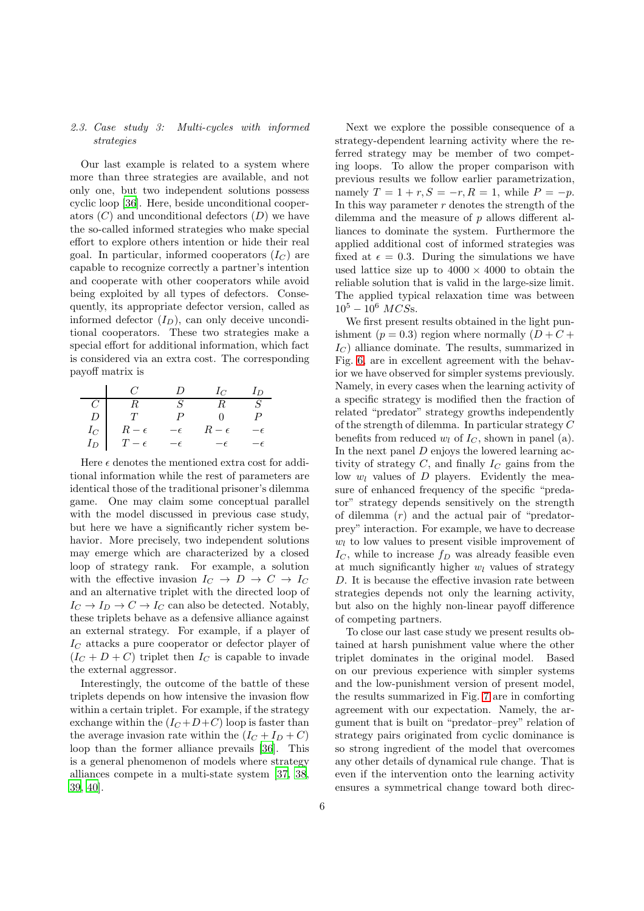## 2.3. Case study 3: Multi-cycles with informed strategies

Our last example is related to a system where more than three strategies are available, and not only one, but two independent solutions possess cyclic loop [\[36\]](#page-8-23). Here, beside unconditional cooperators  $(C)$  and unconditional defectors  $(D)$  we have the so-called informed strategies who make special effort to explore others intention or hide their real goal. In particular, informed cooperators  $(I_C)$  are capable to recognize correctly a partner's intention and cooperate with other cooperators while avoid being exploited by all types of defectors. Consequently, its appropriate defector version, called as informed defector  $(I_D)$ , can only deceive unconditional cooperators. These two strategies make a special effort for additional information, which fact is considered via an extra cost. The corresponding payoff matrix is

|                | C !          | $\prime$    | $I_C$        | Ιn  |
|----------------|--------------|-------------|--------------|-----|
| $\overline{C}$ | R            | S           |              | -S  |
| D              | T            | Ρ           | $^{\circ}$   | P   |
| $I_C$          | $R-\epsilon$ | $-\epsilon$ | $R-\epsilon$ | — F |
| $I_D$          | $T-\epsilon$ | $-\epsilon$ | $-\epsilon$  |     |

Here  $\epsilon$  denotes the mentioned extra cost for additional information while the rest of parameters are identical those of the traditional prisoner's dilemma game. One may claim some conceptual parallel with the model discussed in previous case study, but here we have a significantly richer system behavior. More precisely, two independent solutions may emerge which are characterized by a closed loop of strategy rank. For example, a solution with the effective invasion  $I_C \rightarrow D \rightarrow C \rightarrow I_C$ and an alternative triplet with the directed loop of  $I_C \to I_D \to C \to I_C$  can also be detected. Notably, these triplets behave as a defensive alliance against an external strategy. For example, if a player of  $I_C$  attacks a pure cooperator or defector player of  $(I_C + D + C)$  triplet then  $I_C$  is capable to invade the external aggressor.

Interestingly, the outcome of the battle of these triplets depends on how intensive the invasion flow within a certain triplet. For example, if the strategy exchange within the  $(I_C+D+C)$  loop is faster than the average invasion rate within the  $(I_C + I_D + C)$ loop than the former alliance prevails [\[36](#page-8-23)]. This is a general phenomenon of models where strategy alliances compete in a multi-state system [\[37,](#page-8-24) [38,](#page-8-25) [39,](#page-8-26) [40\]](#page-8-27).

Next we explore the possible consequence of a strategy-dependent learning activity where the referred strategy may be member of two competing loops. To allow the proper comparison with previous results we follow earlier parametrization, namely  $T = 1 + r, S = -r, R = 1$ , while  $P = -p$ . In this way parameter  $r$  denotes the strength of the dilemma and the measure of  $p$  allows different alliances to dominate the system. Furthermore the applied additional cost of informed strategies was fixed at  $\epsilon = 0.3$ . During the simulations we have used lattice size up to  $4000 \times 4000$  to obtain the reliable solution that is valid in the large-size limit. The applied typical relaxation time was between  $10^5 - 10^6$  MCSs.

We first present results obtained in the light punishment ( $p = 0.3$ ) region where normally ( $D + C +$  $I_C$ ) alliance dominate. The results, summarized in Fig. [6,](#page-6-0) are in excellent agreement with the behavior we have observed for simpler systems previously. Namely, in every cases when the learning activity of a specific strategy is modified then the fraction of related "predator" strategy growths independently of the strength of dilemma. In particular strategy C benefits from reduced  $w_l$  of  $I_C$ , shown in panel (a). In the next panel D enjoys the lowered learning activity of strategy  $C$ , and finally  $I_C$  gains from the low  $w_l$  values of  $D$  players. Evidently the measure of enhanced frequency of the specific "predator" strategy depends sensitively on the strength of dilemma  $(r)$  and the actual pair of "predatorprey" interaction. For example, we have to decrease  $w_l$  to low values to present visible improvement of  $I_{C}$ , while to increase  $f_{D}$  was already feasible even at much significantly higher  $w_l$  values of strategy D. It is because the effective invasion rate between strategies depends not only the learning activity, but also on the highly non-linear payoff difference of competing partners.

To close our last case study we present results obtained at harsh punishment value where the other triplet dominates in the original model. Based on our previous experience with simpler systems and the low-punishment version of present model, the results summarized in Fig. [7](#page-6-1) are in comforting agreement with our expectation. Namely, the argument that is built on "predator–prey" relation of strategy pairs originated from cyclic dominance is so strong ingredient of the model that overcomes any other details of dynamical rule change. That is even if the intervention onto the learning activity ensures a symmetrical change toward both direc-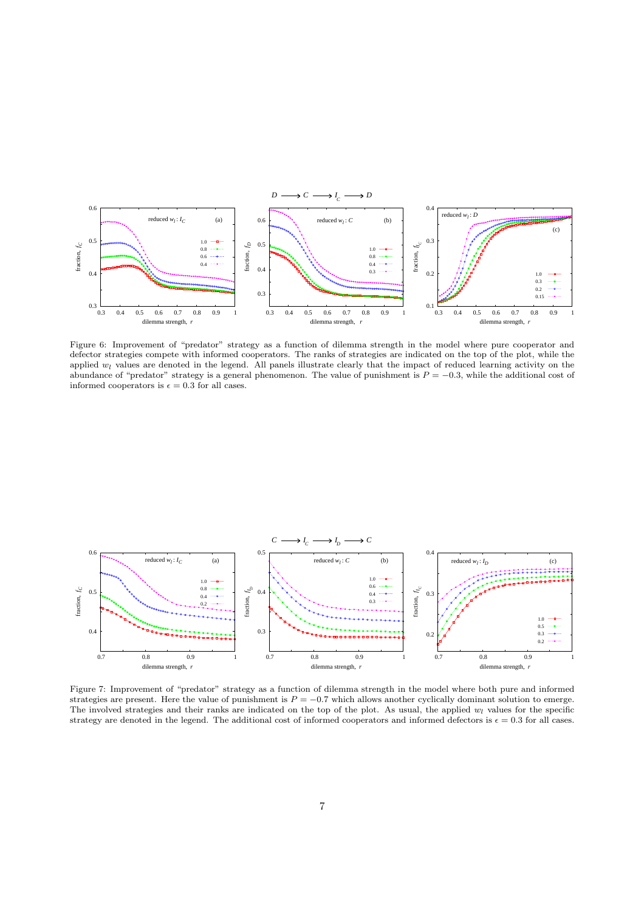

<span id="page-6-0"></span>Figure 6: Improvement of "predator" strategy as a function of dilemma strength in the model where pure cooperator and defector strategies compete with informed cooperators. The ranks of strategies are indicated on the top of the plot, while the applied  $w_l$  values are denoted in the legend. All panels illustrate clearly that the impact of reduced learning activity on the abundance of "predator" strategy is a general phenomenon. The value of punishment is  $P = -0.3$ , while the additional cost of informed cooperators is  $\epsilon = 0.3$  for all cases.



<span id="page-6-1"></span>Figure 7: Improvement of "predator" strategy as a function of dilemma strength in the model where both pure and informed strategies are present. Here the value of punishment is  $P = -0.7$  which allows another cyclically dominant solution to emerge. The involved strategies and their ranks are indicated on the top of the plot. As usual, the applied  $w_l$  values for the specific strategy are denoted in the legend. The additional cost of informed cooperators and informed defectors is  $\epsilon = 0.3$  for all cases.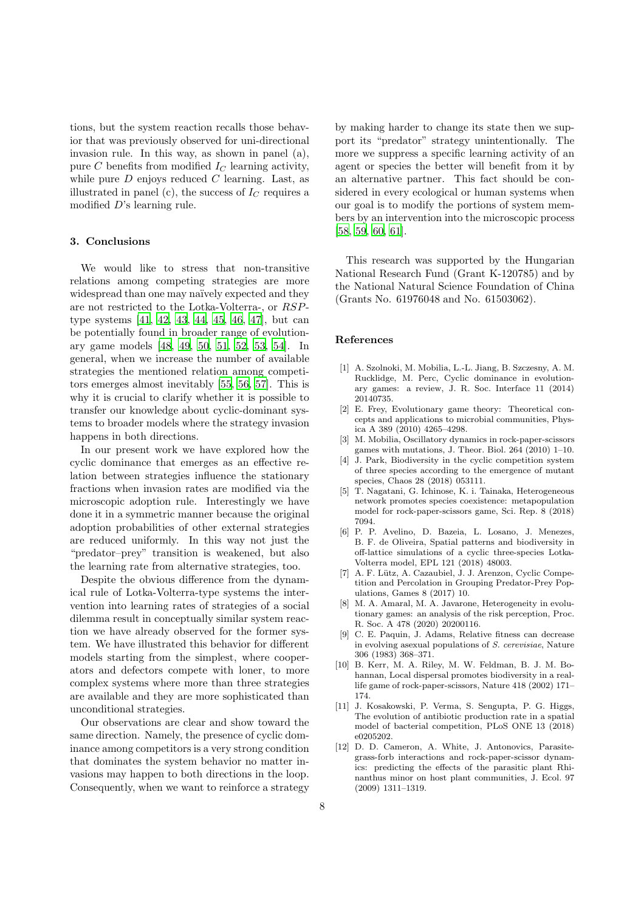tions, but the system reaction recalls those behavior that was previously observed for uni-directional invasion rule. In this way, as shown in panel (a), pure C benefits from modified  $I_C$  learning activity, while pure  $D$  enjoys reduced  $C$  learning. Last, as illustrated in panel (c), the success of  $I_C$  requires a modified D's learning rule.

#### 3. Conclusions

We would like to stress that non-transitive relations among competing strategies are more widespread than one may naïvely expected and they are not restricted to the Lotka-Volterra-, or RSPtype systems [\[41,](#page-8-28) [42,](#page-8-29) [43,](#page-8-30) [44,](#page-8-31) [45](#page-8-32), [46](#page-8-33), [47](#page-8-34)], but can be potentially found in broader range of evolutionary game models [\[48](#page-8-35), [49,](#page-8-36) [50](#page-8-37), [51,](#page-8-38) [52,](#page-8-39) [53](#page-8-40), [54\]](#page-8-41). In general, when we increase the number of available strategies the mentioned relation among competitors emerges almost inevitably [\[55,](#page-9-0) [56,](#page-9-1) [57\]](#page-9-2). This is why it is crucial to clarify whether it is possible to transfer our knowledge about cyclic-dominant systems to broader models where the strategy invasion happens in both directions.

In our present work we have explored how the cyclic dominance that emerges as an effective relation between strategies influence the stationary fractions when invasion rates are modified via the microscopic adoption rule. Interestingly we have done it in a symmetric manner because the original adoption probabilities of other external strategies are reduced uniformly. In this way not just the "predator–prey" transition is weakened, but also the learning rate from alternative strategies, too.

Despite the obvious difference from the dynamical rule of Lotka-Volterra-type systems the intervention into learning rates of strategies of a social dilemma result in conceptually similar system reaction we have already observed for the former system. We have illustrated this behavior for different models starting from the simplest, where cooperators and defectors compete with loner, to more complex systems where more than three strategies are available and they are more sophisticated than unconditional strategies.

Our observations are clear and show toward the same direction. Namely, the presence of cyclic dominance among competitors is a very strong condition that dominates the system behavior no matter invasions may happen to both directions in the loop. Consequently, when we want to reinforce a strategy

by making harder to change its state then we support its "predator" strategy unintentionally. The more we suppress a specific learning activity of an agent or species the better will benefit from it by an alternative partner. This fact should be considered in every ecological or human systems when our goal is to modify the portions of system members by an intervention into the microscopic process [\[58](#page-9-3), [59,](#page-9-4) [60,](#page-9-5) [61\]](#page-9-6).

This research was supported by the Hungarian National Research Fund (Grant K-120785) and by the National Natural Science Foundation of China (Grants No. 61976048 and No. 61503062).

### References

- <span id="page-7-0"></span>[1] A. Szolnoki, M. Mobilia, L.-L. Jiang, B. Szczesny, A. M. Rucklidge, M. Perc, Cyclic dominance in evolutionary games: a review, J. R. Soc. Interface 11 (2014) 20140735.
- <span id="page-7-1"></span>[2] E. Frey, Evolutionary game theory: Theoretical concepts and applications to microbial communities, Physica A 389 (2010) 4265–4298.
- <span id="page-7-2"></span>[3] M. Mobilia, Oscillatory dynamics in rock-paper-scissors games with mutations, J. Theor. Biol. 264 (2010) 1–10.
- <span id="page-7-3"></span>[4] J. Park, Biodiversity in the cyclic competition system of three species according to the emergence of mutant species, Chaos 28 (2018) 053111.
- <span id="page-7-4"></span>[5] T. Nagatani, G. Ichinose, K. i. Tainaka, Heterogeneous network promotes species coexistence: metapopulation model for rock-paper-scissors game, Sci. Rep. 8 (2018) 7094.
- <span id="page-7-5"></span>[6] P. P. Avelino, D. Bazeia, L. Losano, J. Menezes, B. F. de Oliveira, Spatial patterns and biodiversity in off-lattice simulations of a cyclic three-species Lotka-Volterra model, EPL 121 (2018) 48003.
- <span id="page-7-6"></span>[7] A. F. Lütz, A. Cazaubiel, J. J. Arenzon, Cyclic Competition and Percolation in Grouping Predator-Prey Populations, Games 8 (2017) 10.
- <span id="page-7-7"></span>[8] M. A. Amaral, M. A. Javarone, Heterogeneity in evolutionary games: an analysis of the risk perception, Proc. R. Soc. A 478 (2020) 20200116.
- <span id="page-7-8"></span>[9] C. E. Paquin, J. Adams, Relative fitness can decrease in evolving asexual populations of S. cerevisiae, Nature 306 (1983) 368–371.
- <span id="page-7-9"></span>[10] B. Kerr, M. A. Riley, M. W. Feldman, B. J. M. Bohannan, Local dispersal promotes biodiversity in a reallife game of rock-paper-scissors, Nature 418 (2002) 171– 174.
- <span id="page-7-10"></span>[11] J. Kosakowski, P. Verma, S. Sengupta, P. G. Higgs, The evolution of antibiotic production rate in a spatial model of bacterial competition, PLoS ONE 13 (2018) e0205202.
- <span id="page-7-11"></span>[12] D. D. Cameron, A. White, J. Antonovics, Parasitegrass-forb interactions and rock-paper-scissor dynamics: predicting the effects of the parasitic plant Rhinanthus minor on host plant communities, J. Ecol. 97 (2009) 1311–1319.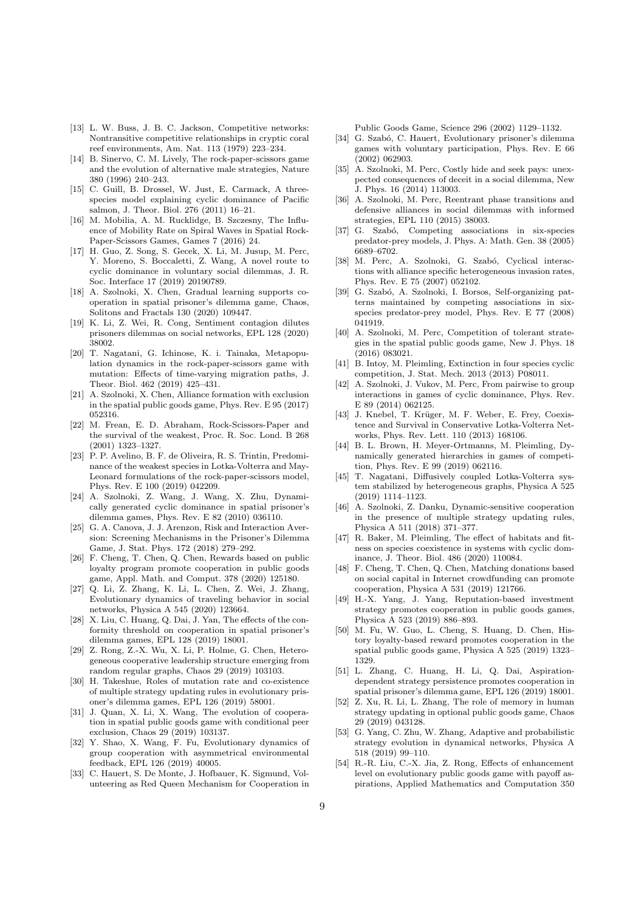- <span id="page-8-0"></span>[13] L. W. Buss, J. B. C. Jackson, Competitive networks: Nontransitive competitive relationships in cryptic coral reef environments, Am. Nat. 113 (1979) 223–234.
- <span id="page-8-1"></span>[14] B. Sinervo, C. M. Lively, The rock-paper-scissors game and the evolution of alternative male strategies, Nature 380 (1996) 240–243.
- <span id="page-8-2"></span>[15] C. Guill, B. Drossel, W. Just, E. Carmack, A threespecies model explaining cyclic dominance of Pacific salmon, J. Theor. Biol. 276 (2011) 16–21.
- <span id="page-8-3"></span>[16] M. Mobilia, A. M. Rucklidge, B. Szczesny, The Influence of Mobility Rate on Spiral Waves in Spatial Rock-Paper-Scissors Games, Games 7 (2016) 24.
- <span id="page-8-4"></span>[17] H. Guo, Z. Song, S. Gecek, X. Li, M. Jusup, M. Perc, Y. Moreno, S. Boccaletti, Z. Wang, A novel route to cyclic dominance in voluntary social dilemmas, J. R. Soc. Interface 17 (2019) 20190789.
- <span id="page-8-5"></span>[18] A. Szolnoki, X. Chen, Gradual learning supports cooperation in spatial prisoner's dilemma game, Chaos, Solitons and Fractals 130 (2020) 109447.
- <span id="page-8-8"></span>[19] K. Li, Z. Wei, R. Cong, Sentiment contagion dilutes prisoners dilemmas on social networks, EPL 128 (2020) 38002.
- <span id="page-8-6"></span>[20] T. Nagatani, G. Ichinose, K. i. Tainaka, Metapopulation dynamics in the rock-paper-scissors game with mutation: Effects of time-varying migration paths, J. Theor. Biol. 462 (2019) 425–431.
- <span id="page-8-7"></span>[21] A. Szolnoki, X. Chen, Alliance formation with exclusion in the spatial public goods game, Phys. Rev. E 95 (2017) 052316.
- <span id="page-8-9"></span>[22] M. Frean, E. D. Abraham, Rock-Scissors-Paper and the survival of the weakest, Proc. R. Soc. Lond. B 268 (2001) 1323–1327.
- <span id="page-8-10"></span>[23] P. P. Avelino, B. F. de Oliveira, R. S. Trintin, Predominance of the weakest species in Lotka-Volterra and May-Leonard formulations of the rock-paper-scissors model, Phys. Rev. E 100 (2019) 042209.
- <span id="page-8-11"></span>[24] A. Szolnoki, Z. Wang, J. Wang, X. Zhu, Dynamically generated cyclic dominance in spatial prisoner's dilemma games, Phys. Rev. E 82 (2010) 036110.
- <span id="page-8-12"></span>[25] G. A. Canova, J. J. Arenzon, Risk and Interaction Aversion: Screening Mechanisms in the Prisoner's Dilemma Game, J. Stat. Phys. 172 (2018) 279–292.
- <span id="page-8-13"></span>[26] F. Cheng, T. Chen, Q. Chen, Rewards based on public loyalty program promote cooperation in public goods game, Appl. Math. and Comput. 378 (2020) 125180.
- <span id="page-8-14"></span>[27] Q. Li, Z. Zhang, K. Li, L. Chen, Z. Wei, J. Zhang, Evolutionary dynamics of traveling behavior in social networks, Physica A 545 (2020) 123664.
- <span id="page-8-15"></span>[28] X. Liu, C. Huang, O. Dai, J. Yan, The effects of the conformity threshold on cooperation in spatial prisoner's dilemma games, EPL 128 (2019) 18001.
- <span id="page-8-16"></span>[29] Z. Rong, Z.-X. Wu, X. Li, P. Holme, G. Chen, Heterogeneous cooperative leadership structure emerging from random regular graphs, Chaos 29 (2019) 103103.
- <span id="page-8-17"></span>[30] H. Takeshue, Roles of mutation rate and co-existence of multiple strategy updating rules in evolutionary prisoner's dilemma games, EPL 126 (2019) 58001.
- <span id="page-8-18"></span>[31] J. Quan, X. Li, X. Wang, The evolution of cooperation in spatial public goods game with conditional peer exclusion, Chaos 29 (2019) 103137.
- <span id="page-8-19"></span>[32] Y. Shao, X. Wang, F. Fu, Evolutionary dynamics of group cooperation with asymmetrical environmental feedback, EPL 126 (2019) 40005.
- <span id="page-8-20"></span>[33] C. Hauert, S. De Monte, J. Hofbauer, K. Sigmund, Volunteering as Red Queen Mechanism for Cooperation in

Public Goods Game, Science 296 (2002) 1129–1132.

- <span id="page-8-21"></span>[34] G. Szabó, C. Hauert, Evolutionary prisoner's dilemma games with voluntary participation, Phys. Rev. E 66 (2002) 062903.
- <span id="page-8-22"></span>[35] A. Szolnoki, M. Perc, Costly hide and seek pays: unexpected consequences of deceit in a social dilemma, New J. Phys. 16 (2014) 113003.
- <span id="page-8-23"></span>[36] A. Szolnoki, M. Perc, Reentrant phase transitions and defensive alliances in social dilemmas with informed strategies, EPL 110 (2015) 38003.
- <span id="page-8-24"></span>[37] G. Szabó, Competing associations in six-species predator-prey models, J. Phys. A: Math. Gen. 38 (2005) 6689–6702.
- <span id="page-8-25"></span>[38] M. Perc, A. Szolnoki, G. Szabó, Cyclical interactions with alliance specific heterogeneous invasion rates, Phys. Rev. E 75 (2007) 052102.
- <span id="page-8-26"></span>[39] G. Szabó, A. Szolnoki, I. Borsos, Self-organizing patterns maintained by competing associations in sixspecies predator-prey model, Phys. Rev. E 77 (2008) 041919.
- <span id="page-8-27"></span>[40] A. Szolnoki, M. Perc, Competition of tolerant strategies in the spatial public goods game, New J. Phys. 18 (2016) 083021.
- <span id="page-8-28"></span>[41] B. Intoy, M. Pleimling, Extinction in four species cyclic competition, J. Stat. Mech. 2013 (2013) P08011.
- <span id="page-8-29"></span>[42] A. Szolnoki, J. Vukov, M. Perc, From pairwise to group interactions in games of cyclic dominance, Phys. Rev. E 89 (2014) 062125.
- <span id="page-8-30"></span>[43] J. Knebel, T. Krüger, M. F. Weber, E. Frey, Coexistence and Survival in Conservative Lotka-Volterra Networks, Phys. Rev. Lett. 110 (2013) 168106.
- <span id="page-8-31"></span>[44] B. L. Brown, H. Meyer-Ortmanns, M. Pleimling, Dynamically generated hierarchies in games of competition, Phys. Rev. E 99 (2019) 062116.
- <span id="page-8-32"></span>[45] T. Nagatani, Diffusively coupled Lotka-Volterra system stabilized by heterogeneous graphs, Physica A 525 (2019) 1114–1123.
- <span id="page-8-33"></span>[46] A. Szolnoki, Z. Danku, Dynamic-sensitive cooperation in the presence of multiple strategy updating rules, Physica A 511 (2018) 371–377.
- <span id="page-8-34"></span>[47] R. Baker, M. Pleimling, The effect of habitats and fitness on species coexistence in systems with cyclic dominance, J. Theor. Biol. 486 (2020) 110084.
- <span id="page-8-35"></span>[48] F. Cheng, T. Chen, Q. Chen, Matching donations based on social capital in Internet crowdfunding can promote cooperation, Physica A 531 (2019) 121766.
- <span id="page-8-36"></span>[49] H.-X. Yang, J. Yang, Reputation-based investment strategy promotes cooperation in public goods games, Physica A 523 (2019) 886–893.
- <span id="page-8-37"></span>[50] M. Fu, W. Guo, L. Cheng, S. Huang, D. Chen, History loyalty-based reward promotes cooperation in the spatial public goods game, Physica A 525 (2019) 1323– 1329.
- <span id="page-8-38"></span>[51] L. Zhang, C. Huang, H. Li, Q. Dai, Aspirationdependent strategy persistence promotes cooperation in spatial prisoner's dilemma game, EPL 126 (2019) 18001.
- <span id="page-8-39"></span>[52] Z. Xu, R. Li, L. Zhang, The role of memory in human strategy updating in optional public goods game, Chaos 29 (2019) 043128.
- <span id="page-8-40"></span>[53] G. Yang, C. Zhu, W. Zhang, Adaptive and probabilistic strategy evolution in dynamical networks, Physica A 518 (2019) 99–110.
- <span id="page-8-41"></span>[54] R.-R. Liu, C.-X. Jia, Z. Rong, Effects of enhancement level on evolutionary public goods game with payoff aspirations, Applied Mathematics and Computation 350